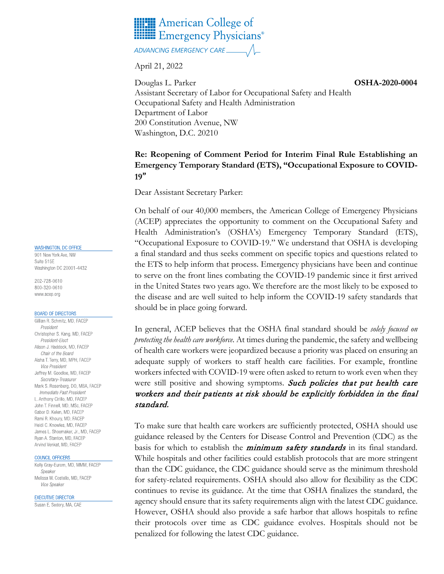

ADVANCING EMERGENCY CARE

April 21, 2022

**OSHA-2020-0004**  Douglas L. Parker Assistant Secretary of Labor for Occupational Safety and Health Occupational Safety and Health Administration Department of Labor 200 Constitution Avenue, NW Washington, D.C. 20210

## **Re: Reopening of Comment Period for Interim Final Rule Establishing an Emergency Temporary Standard (ETS), "Occupational Exposure to COVID-19**"

Dear Assistant Secretary Parker:

On behalf of our 40,000 members, the American College of Emergency Physicians (ACEP) appreciates the opportunity to comment on the Occupational Safety and Health Administration's (OSHA's) Emergency Temporary Standard (ETS), "Occupational Exposure to COVID-19." We understand that OSHA is developing a final standard and thus seeks comment on specific topics and questions related to the ETS to help inform that process. Emergency physicians have been and continue to serve on the front lines combating the COVID-19 pandemic since it first arrived in the United States two years ago. We therefore are the most likely to be exposed to the disease and are well suited to help inform the COVID-19 safety standards that should be in place going forward.

In general, ACEP believes that the OSHA final standard should be *solely focused on protecting the health care workforce*. At times during the pandemic, the safety and wellbeing of health care workers were jeopardized because a priority was placed on ensuring an adequate supply of workers to staff health care facilities. For example, frontline workers infected with COVID-19 were often asked to return to work even when they were still positive and showing symptoms. Such policies that put health care workers and their patients at risk should be explicitly forbidden in the final standard.

To make sure that health care workers are sufficiently protected, OSHA should use guidance released by the Centers for Disease Control and Prevention (CDC) as the basis for which to establish the *minimum safety standards* in its final standard. While hospitals and other facilities could establish protocols that are more stringent than the CDC guidance, the CDC guidance should serve as the minimum threshold for safety-related requirements. OSHA should also allow for flexibility as the CDC continues to revise its guidance. At the time that OSHA finalizes the standard, the agency should ensure that its safety requirements align with the latest CDC guidance. However, OSHA should also provide a safe harbor that allows hospitals to refine their protocols over time as CDC guidance evolves. Hospitals should not be penalized for following the latest CDC guidance.

## WASHINGTON, DC OFFICE

901 New York Ave, NW Suite 515E Washington DC 20001-4432

202-728-0610 800-320-0610 www.acep.org

## **BOARD OF DIRECTORS**

Gillian R. Schmitz, MD, FACEP President Christopher S. Kang, MD, FACEP President-Elect Alison J. Haddock, MD, FACEP Chair of the Board Aisha T. Terry, MD, MPH, FACEP Vice President Jeffrey M. Goodloe, MD, FACEP Secretary-Treasurer Mark S. Rosenberg, DO, MBA, FACEP Immediate Past President L. Anthony Cirillo, MD, FACEP John T. Finnell, MD, MSc, FACEP Gabor D. Kelen, MD. FACEP Rami R. Khoury, MD, FACEP Heidi C. Knowles, MD, FACEP James L. Shoemaker, Jr., MD, FACEP Ryan A. Stanton, MD, FACEP Arvind Venkat, MD, FACEP

## COUNCIL OFFICERS

Kelly Gray-Eurom, MD, MMM, FACEP Speaker Melissa W. Costello, MD, FACEP Vice Speaker

**EXECUTIVE DIRECTOR** 

Susan E. Sedory, MA, CAE